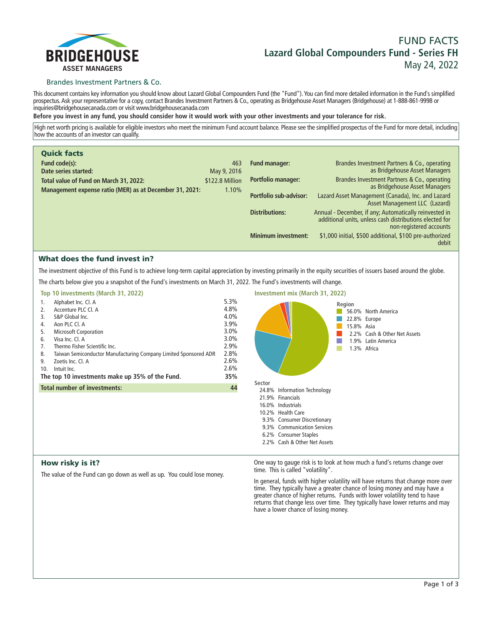

# **FUND FACTS Lazard Global Compounders Fund - Series FH May 24, 2022**

# Brandes Investment Partners & Co.

**This document contains key information you should know about Lazard Global Compounders Fund (the "Fund"). You can find more detailed information in the Fund's simplified prospectus. Ask your representative for a copy, contact Brandes Investment Partners & Co., operating as Bridgehouse Asset Managers (Bridgehouse) at 1-888-861-9998 or inquiries@bridgehousecanada.com or visit www.bridgehousecanada.com**

**Before you invest in any fund, you should consider how it would work with your other investments and your tolerance for risk.**

**High net worth pricing is available for eligible investors who meet the minimum Fund account balance. Please see the simplified prospectus of the Fund for more detail, including how the accounts of an investor can qualify.**

| <b>Quick facts</b>                                                                                |                          |                            |                                                                                                                                              |
|---------------------------------------------------------------------------------------------------|--------------------------|----------------------------|----------------------------------------------------------------------------------------------------------------------------------------------|
| Fund code(s):                                                                                     | 463                      | <b>Fund manager:</b>       | Brandes Investment Partners & Co., operating                                                                                                 |
| Date series started:                                                                              | May 9, 2016              |                            | as Bridgehouse Asset Managers                                                                                                                |
| Total value of Fund on March 31, 2022:<br>Management expense ratio (MER) as at December 31, 2021: | \$122.8 Million<br>1.10% | <b>Portfolio manager:</b>  | Brandes Investment Partners & Co., operating<br>as Bridgehouse Asset Managers                                                                |
|                                                                                                   |                          |                            |                                                                                                                                              |
|                                                                                                   |                          | Portfolio sub-advisor:     | Lazard Asset Management (Canada), Inc. and Lazard<br>Asset Management LLC (Lazard)                                                           |
|                                                                                                   |                          | <b>Distributions:</b>      | Annual - December, if any; Automatically reinvested in<br>additional units, unless cash distributions elected for<br>non-registered accounts |
|                                                                                                   |                          | <b>Minimum investment:</b> | \$1,000 initial, \$500 additional, \$100 pre-authorized<br>debit                                                                             |

# What does the fund invest in?

**The investment objective of this Fund is to achieve long-term capital appreciation by investing primarily in the equity securities of issuers based around the globe.**

**The charts below give you a snapshot of the Fund's investments on March 31, 2022. The Fund's investments will change.**

|     | Top 10 investments (March 31, 2022)                              |      |
|-----|------------------------------------------------------------------|------|
| 1.  | Alphabet Inc. Cl. A                                              | 5.3% |
| 2.  | Accenture PLC Cl. A                                              | 4.8% |
| 3.  | S&P Global Inc.                                                  | 4.0% |
| 4.  | Aon PLC Cl. A                                                    | 3.9% |
| 5.  | <b>Microsoft Corporation</b>                                     | 3.0% |
| 6.  | Visa Inc. Cl. A                                                  | 3.0% |
| 7.  | Thermo Fisher Scientific Inc.                                    | 2.9% |
| 8.  | Taiwan Semiconductor Manufacturing Company Limited Sponsored ADR | 2.8% |
| 9.  | Zoetis Inc. Cl. A                                                | 2.6% |
| 10. | Intuit Inc.                                                      | 2.6% |
|     | The top 10 investments make up 35% of the Fund.                  | 35%  |
|     | <b>Total number of investments:</b>                              | 44   |
|     |                                                                  |      |
|     |                                                                  |      |



# How risky is it?

**The value of the Fund can go down as well as up. You could lose money.**

**One way to gauge risk is to look at how much a fund's returns change over time. This is called "volatility".**

**In general, funds with higher volatility will have returns that change more over time. They typically have a greater chance of losing money and may have a greater chance of higher returns. Funds with lower volatility tend to have**  returns that change less over time. They typically have lower returns and may **have a lower chance of losing money.**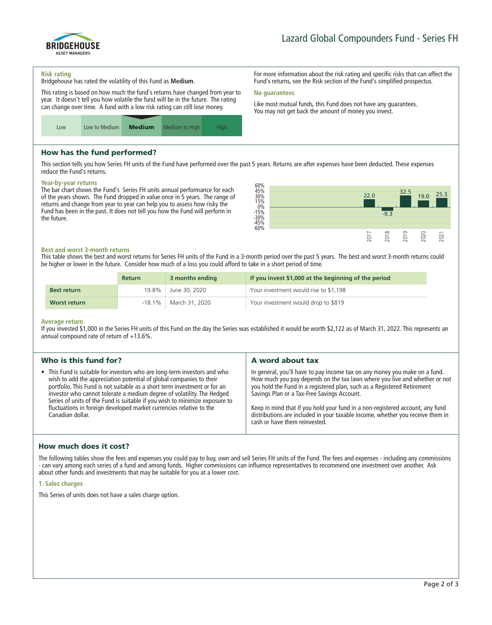

**For more information about the risk rating and specific risks that can affect the Fund's returns, see the Risk section of the Fund's simplified prospectus.**

**Like most mutual funds, this Fund does not have any guarantees. You may not get back the amount of money you invest.**

#### **Risk rating**

**Bridgehouse has rated the volatility of this Fund as Medium.**

**This rating is based on how much the fund's returns have changed from year to year. It doesn't tell you how volatile the fund will be in the future. The rating can change over time. A fund with a low risk rating can still lose money.**



# How has the fund performed?

**This section tells you how Series FH units of the Fund have performed over the past 5 years. Returns are after expenses have been deducted. These expenses reduce the Fund's returns.**

**No guarantees**

#### **Year-by-year returns**

**The bar chart shows the Fund's Series FH units annual performance for each of the years shown. The Fund dropped in value once in 5 years. The range of returns and change from year to year can help you to assess how risky the Fund has been in the past. It does not tell you how the Fund will perform in the future.**



#### **Best and worst 3-month returns**

**This table shows the best and worst returns for Series FH units of the Fund in a 3-month period over the past 5 years. The best and worst 3-month returns could be higher or lower in the future. Consider how much of a loss you could afford to take in a short period of time.**

|                    | <b>Return</b> | 3 months ending            | If you invest \$1,000 at the beginning of the period |
|--------------------|---------------|----------------------------|------------------------------------------------------|
| <b>Best return</b> | 19.8%         | June 30, 2020              | Your investment would rise to \$1,198                |
| Worst return       |               | $-18.1\%$   March 31, 2020 | Your investment would drop to \$819                  |

#### **Average return**

**If you invested \$1,000 in the Series FH units of this Fund on the day the Series was established it would be worth \$2,122 as of March 31, 2022. This represents an annual compound rate of return of +13.6%.**

| Who is this fund for?                                                                                                                                                                                                                                                                                                                                                                                                                                                             | A word about tax                                                                                                                                                                                                                                                                                                                                                                                                                                                                       |  |
|-----------------------------------------------------------------------------------------------------------------------------------------------------------------------------------------------------------------------------------------------------------------------------------------------------------------------------------------------------------------------------------------------------------------------------------------------------------------------------------|----------------------------------------------------------------------------------------------------------------------------------------------------------------------------------------------------------------------------------------------------------------------------------------------------------------------------------------------------------------------------------------------------------------------------------------------------------------------------------------|--|
| • This Fund is suitable for investors who are long-term investors and who<br>wish to add the appreciation potential of global companies to their<br>portfolio. This Fund is not suitable as a short term investment or for an<br>investor who cannot tolerate a medium degree of volatility. The Hedged<br>Series of units of the Fund is suitable if you wish to minimize exposure to<br>fluctuations in foreign developed market currencies relative to the<br>Canadian dollar. | In general, you'll have to pay income tax on any money you make on a fund.<br>How much you pay depends on the tax laws where you live and whether or not<br>you hold the Fund in a registered plan, such as a Registered Retirement<br>Savings Plan or a Tax-Free Savings Account.<br>Keep in mind that if you hold your fund in a non-registered account, any fund<br>distributions are included in your taxable income, whether you receive them in<br>cash or have them reinvested. |  |
|                                                                                                                                                                                                                                                                                                                                                                                                                                                                                   |                                                                                                                                                                                                                                                                                                                                                                                                                                                                                        |  |

# How much does it cost?

**The following tables show the fees and expenses you could pay to buy, own and sell Series FH units of the Fund. The fees and expenses - including any commissions - can vary among each series of a fund and among funds. Higher commissions can influence representatives to recommend one investment over another. Ask about other funds and investments that may be suitable for you at a lower cost.**

#### **1. Sales charges**

**This Series of units does not have a sales charge option.**